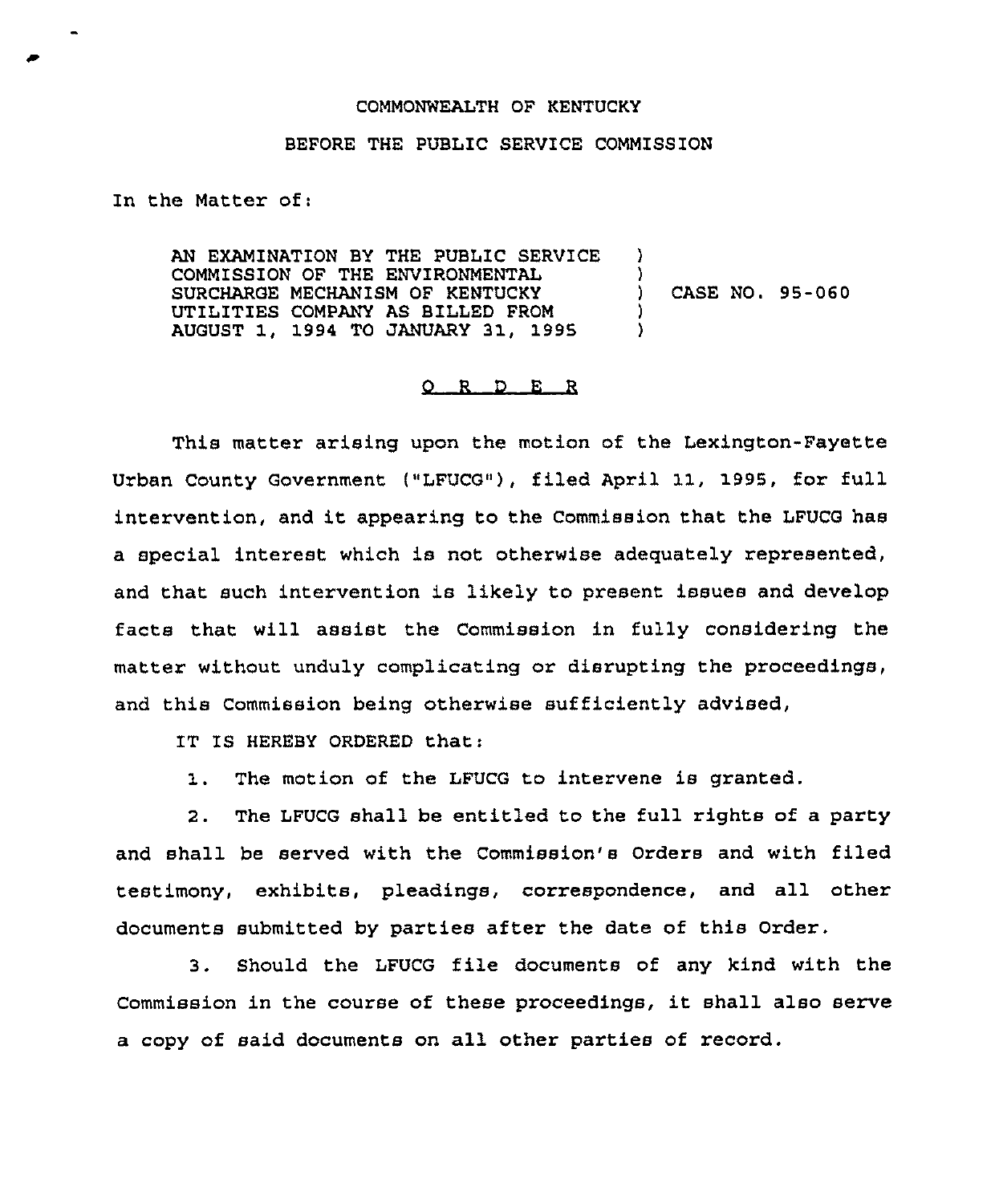## COMMONWEALTH OF KENTUCKY

## BEFORE THE PUBLIC SERVICE COMMISSION

In the Matter of:

AN EXAMINATION BY THE PUBLIC SERVICE COMMISSION OF THE ENVIRONMENTAL SURCHARGE MECHANISM OF KENTUCKY UTILITIES COMPANY AS BILLED FROM AUGUST 1, 1994 TO JANUARY 31, 1995 ) )<br>) ) CASE NO. 95-060 ) )

## 0 <sup>R</sup> <sup>D</sup> <sup>E</sup> <sup>R</sup>

This matter arising upon the motion of the Lexington-Fayette Urban County Government ("LFUCG"), filed April 11, 1995, for full intervention, and it appearing to the Commission that the LFUCG has <sup>a</sup> special interest which is not otherwise adequately represented, and that such intervention is likely to present issues and develop facts that will assist the Commission in fully considering the matter without unduly complicating or disrupting the proceedings, and this Commission being otherwise sufficiently advised,

IT IS HEREBY ORDERED that:

1. The motion of the LFUCG to intervene is granted.

2. The LFUCG shall be entitled to the full rights of a party and shall be served with the Commission's Orders and with filed testimony, exhibits, pleadings, correspondence, and all other documents submitted by parties after the date of this Order.

3. Should the LFUCG file documents of any kind with the Commission in the course of these proceedings, it shall also serve a copy of said documents on all other parties of record.